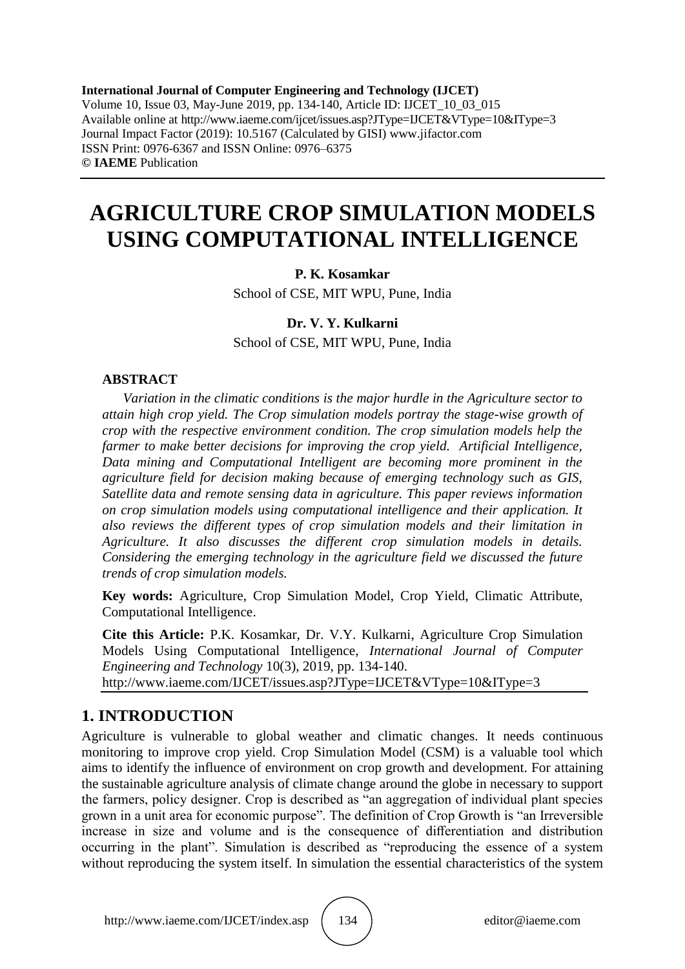**International Journal of Computer Engineering and Technology (IJCET)** Volume 10, Issue 03, May-June 2019, pp. 134-140, Article ID: IJCET\_10\_03\_015 Available online at http://www.iaeme.com/ijcet/issues.asp?JType=IJCET&VType=10&IType=3 Journal Impact Factor (2019): 10.5167 (Calculated by GISI) www.jifactor.com ISSN Print: 0976-6367 and ISSN Online: 0976–6375 **© IAEME** Publication

# **AGRICULTURE CROP SIMULATION MODELS USING COMPUTATIONAL INTELLIGENCE**

### **P. K. Kosamkar**

School of CSE, MIT WPU, Pune, India

#### **Dr. V. Y. Kulkarni**

School of CSE, MIT WPU, Pune, India

#### **ABSTRACT**

*Variation in the climatic conditions is the major hurdle in the Agriculture sector to attain high crop yield. The Crop simulation models portray the stage-wise growth of crop with the respective environment condition. The crop simulation models help the farmer to make better decisions for improving the crop yield. Artificial Intelligence, Data mining and Computational Intelligent are becoming more prominent in the agriculture field for decision making because of emerging technology such as GIS, Satellite data and remote sensing data in agriculture. This paper reviews information on crop simulation models using computational intelligence and their application. It also reviews the different types of crop simulation models and their limitation in Agriculture. It also discusses the different crop simulation models in details. Considering the emerging technology in the agriculture field we discussed the future trends of crop simulation models.* 

**Key words:** Agriculture, Crop Simulation Model, Crop Yield, Climatic Attribute, Computational Intelligence.

**Cite this Article:** P.K. Kosamkar, Dr. V.Y. Kulkarni, Agriculture Crop Simulation Models Using Computational Intelligence, *International Journal of Computer Engineering and Technology* 10(3), 2019, pp. 134-140. http://www.iaeme.com/IJCET/issues.asp?JType=IJCET&VType=10&IType=3

## **1. INTRODUCTION**

Agriculture is vulnerable to global weather and climatic changes. It needs continuous monitoring to improve crop yield. Crop Simulation Model (CSM) is a valuable tool which aims to identify the influence of environment on crop growth and development. For attaining the sustainable agriculture analysis of climate change around the globe in necessary to support the farmers, policy designer. Crop is described as "an aggregation of individual plant species grown in a unit area for economic purpose". The definition of Crop Growth is "an Irreversible increase in size and volume and is the consequence of differentiation and distribution occurring in the plant". Simulation is described as "reproducing the essence of a system without reproducing the system itself. In simulation the essential characteristics of the system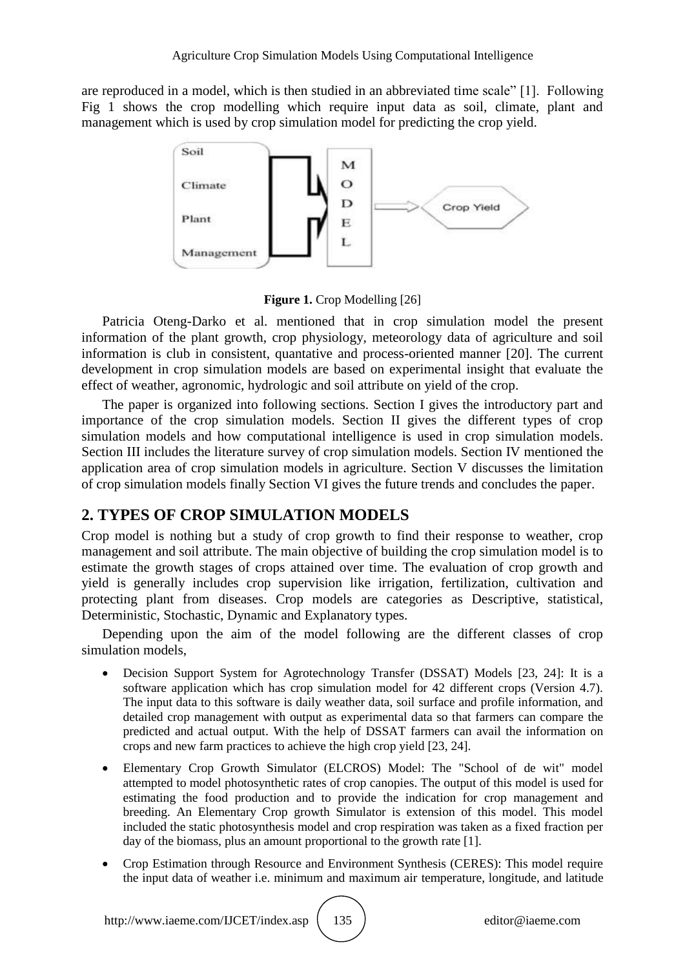are reproduced in a model, which is then studied in an abbreviated time scale" [1]. Following Fig 1 shows the crop modelling which require input data as soil, climate, plant and management which is used by crop simulation model for predicting the crop yield.



**Figure 1.** Crop Modelling [26]

Patricia Oteng-Darko et al. mentioned that in crop simulation model the present information of the plant growth, crop physiology, meteorology data of agriculture and soil information is club in consistent, quantative and process-oriented manner [20]. The current development in crop simulation models are based on experimental insight that evaluate the effect of weather, agronomic, hydrologic and soil attribute on yield of the crop.

The paper is organized into following sections. Section I gives the introductory part and importance of the crop simulation models. Section II gives the different types of crop simulation models and how computational intelligence is used in crop simulation models. Section III includes the literature survey of crop simulation models. Section IV mentioned the application area of crop simulation models in agriculture. Section V discusses the limitation of crop simulation models finally Section VI gives the future trends and concludes the paper.

# **2. TYPES OF CROP SIMULATION MODELS**

Crop model is nothing but a study of crop growth to find their response to weather, crop management and soil attribute. The main objective of building the crop simulation model is to estimate the growth stages of crops attained over time. The evaluation of crop growth and yield is generally includes crop supervision like irrigation, fertilization, cultivation and protecting plant from diseases. Crop models are categories as Descriptive, statistical, Deterministic, Stochastic, Dynamic and Explanatory types.

Depending upon the aim of the model following are the different classes of crop simulation models,

- Decision Support System for Agrotechnology Transfer (DSSAT) Models [23, 24]: It is a software application which has crop simulation model for 42 different crops (Version 4.7). The input data to this software is daily weather data, soil surface and profile information, and detailed crop management with output as experimental data so that farmers can compare the predicted and actual output. With the help of DSSAT farmers can avail the information on crops and new farm practices to achieve the high crop yield [23, 24].
- Elementary Crop Growth Simulator (ELCROS) Model: The "School of de wit" model attempted to model photosynthetic rates of crop canopies. The output of this model is used for estimating the food production and to provide the indication for crop management and breeding. An Elementary Crop growth Simulator is extension of this model. This model included the static photosynthesis model and crop respiration was taken as a fixed fraction per day of the biomass, plus an amount proportional to the growth rate [1].
- Crop Estimation through Resource and Environment Synthesis (CERES): This model require the input data of weather i.e. minimum and maximum air temperature, longitude, and latitude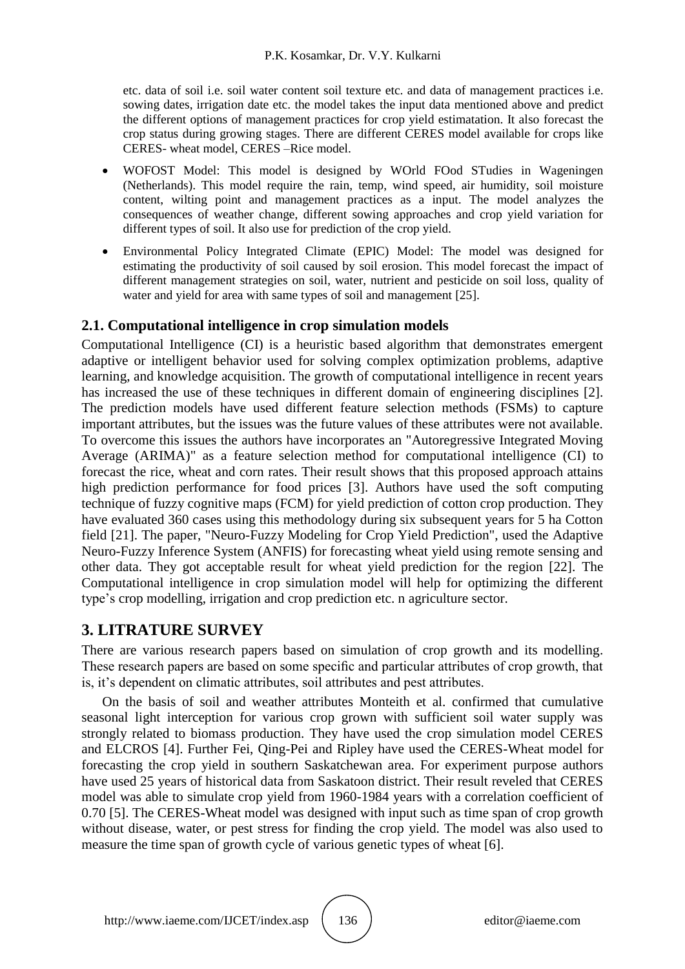etc. data of soil i.e. soil water content soil texture etc. and data of management practices i.e. sowing dates, irrigation date etc. the model takes the input data mentioned above and predict the different options of management practices for crop yield estimatation. It also forecast the crop status during growing stages. There are different CERES model available for crops like CERES- wheat model, CERES –Rice model.

- WOFOST Model: This model is designed by WOrld FOod STudies in Wageningen (Netherlands). This model require the rain, temp, wind speed, air humidity, soil moisture content, wilting point and management practices as a input. The model analyzes the consequences of weather change, different sowing approaches and crop yield variation for different types of soil. It also use for prediction of the crop yield.
- Environmental Policy Integrated Climate (EPIC) Model: The model was designed for estimating the productivity of soil caused by soil erosion. This model forecast the impact of different management strategies on soil, water, nutrient and pesticide on soil loss, quality of water and yield for area with same types of soil and management [25].

## **2.1. Computational intelligence in crop simulation models**

Computational Intelligence (CI) is a heuristic based algorithm that demonstrates emergent adaptive or intelligent behavior used for solving complex optimization problems, adaptive learning, and knowledge acquisition. The growth of computational intelligence in recent years has increased the use of these techniques in different domain of engineering disciplines [2]. The prediction models have used different feature selection methods (FSMs) to capture important attributes, but the issues was the future values of these attributes were not available. To overcome this issues the authors have incorporates an "Autoregressive Integrated Moving Average (ARIMA)" as a feature selection method for computational intelligence (CI) to forecast the rice, wheat and corn rates. Their result shows that this proposed approach attains high prediction performance for food prices [3]. Authors have used the soft computing technique of fuzzy cognitive maps (FCM) for yield prediction of cotton crop production. They have evaluated 360 cases using this methodology during six subsequent years for 5 ha Cotton field [21]. The paper, "Neuro-Fuzzy Modeling for Crop Yield Prediction", used the Adaptive Neuro-Fuzzy Inference System (ANFIS) for forecasting wheat yield using remote sensing and other data. They got acceptable result for wheat yield prediction for the region [22]. The Computational intelligence in crop simulation model will help for optimizing the different type's crop modelling, irrigation and crop prediction etc. n agriculture sector.

## **3. LITRATURE SURVEY**

There are various research papers based on simulation of crop growth and its modelling. These research papers are based on some specific and particular attributes of crop growth, that is, it's dependent on climatic attributes, soil attributes and pest attributes.

On the basis of soil and weather attributes Monteith et al. confirmed that cumulative seasonal light interception for various crop grown with sufficient soil water supply was strongly related to biomass production. They have used the crop simulation model CERES and ELCROS [4]. Further Fei, Qing-Pei and Ripley have used the CERES-Wheat model for forecasting the crop yield in southern Saskatchewan area. For experiment purpose authors have used 25 years of historical data from Saskatoon district. Their result reveled that CERES model was able to simulate crop yield from 1960-1984 years with a correlation coefficient of 0.70 [5]. The CERES-Wheat model was designed with input such as time span of crop growth without disease, water, or pest stress for finding the crop yield. The model was also used to measure the time span of growth cycle of various genetic types of wheat [6].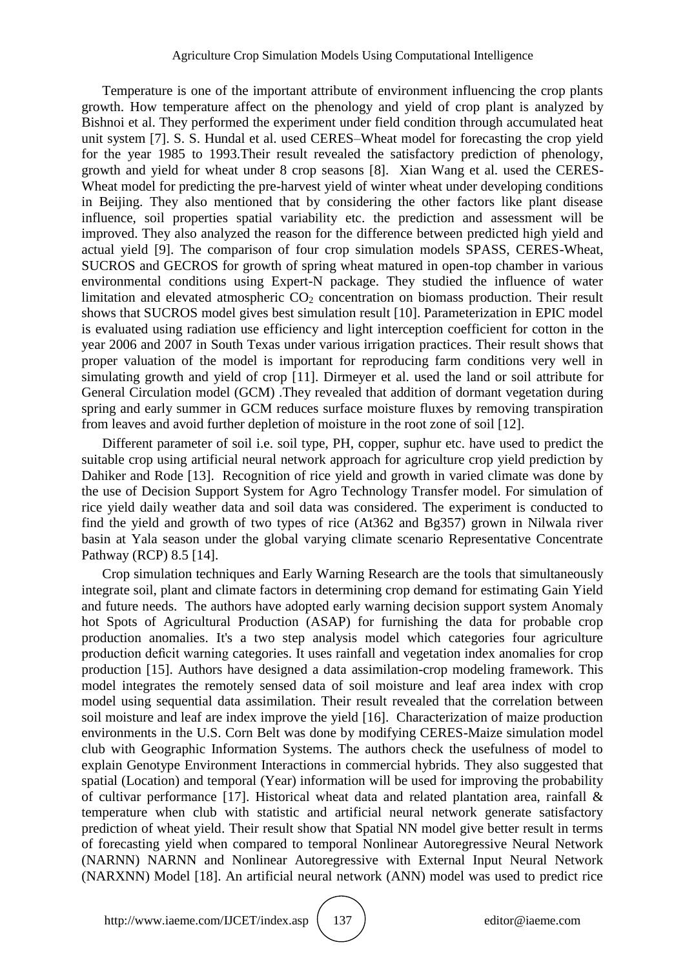Temperature is one of the important attribute of environment influencing the crop plants growth. How temperature affect on the phenology and yield of crop plant is analyzed by Bishnoi et al. They performed the experiment under field condition through accumulated heat unit system [7]. S. S. Hundal et al. used CERES–Wheat model for forecasting the crop yield for the year 1985 to 1993.Their result revealed the satisfactory prediction of phenology, growth and yield for wheat under 8 crop seasons [8]. Xian Wang et al. used the CERES-Wheat model for predicting the pre-harvest yield of winter wheat under developing conditions in Beijing. They also mentioned that by considering the other factors like plant disease influence, soil properties spatial variability etc. the prediction and assessment will be improved. They also analyzed the reason for the difference between predicted high yield and actual yield [9]. The comparison of four crop simulation models SPASS, CERES-Wheat, SUCROS and GECROS for growth of spring wheat matured in open-top chamber in various environmental conditions using Expert-N package. They studied the influence of water limitation and elevated atmospheric  $CO<sub>2</sub>$  concentration on biomass production. Their result shows that SUCROS model gives best simulation result [10]. Parameterization in EPIC model is evaluated using radiation use efficiency and light interception coefficient for cotton in the year 2006 and 2007 in South Texas under various irrigation practices. Their result shows that proper valuation of the model is important for reproducing farm conditions very well in simulating growth and yield of crop [11]. Dirmeyer et al. used the land or soil attribute for General Circulation model (GCM) .They revealed that addition of dormant vegetation during spring and early summer in GCM reduces surface moisture fluxes by removing transpiration from leaves and avoid further depletion of moisture in the root zone of soil [12].

Different parameter of soil i.e. soil type, PH, copper, suphur etc. have used to predict the suitable crop using artificial neural network approach for agriculture crop yield prediction by Dahiker and Rode [13]. Recognition of rice yield and growth in varied climate was done by the use of Decision Support System for Agro Technology Transfer model. For simulation of rice yield daily weather data and soil data was considered. The experiment is conducted to find the yield and growth of two types of rice (At362 and Bg357) grown in Nilwala river basin at Yala season under the global varying climate scenario Representative Concentrate Pathway (RCP) 8.5 [14].

Crop simulation techniques and Early Warning Research are the tools that simultaneously integrate soil, plant and climate factors in determining crop demand for estimating Gain Yield and future needs. The authors have adopted early warning decision support system Anomaly hot Spots of Agricultural Production (ASAP) for furnishing the data for probable crop production anomalies. It's a two step analysis model which categories four agriculture production deficit warning categories. It uses rainfall and vegetation index anomalies for crop production [15]. Authors have designed a data assimilation-crop modeling framework. This model integrates the remotely sensed data of soil moisture and leaf area index with crop model using sequential data assimilation. Their result revealed that the correlation between soil moisture and leaf are index improve the yield [16]. Characterization of maize production environments in the U.S. Corn Belt was done by modifying CERES-Maize simulation model club with Geographic Information Systems. The authors check the usefulness of model to explain Genotype Environment Interactions in commercial hybrids. They also suggested that spatial (Location) and temporal (Year) information will be used for improving the probability of cultivar performance [17]. Historical wheat data and related plantation area, rainfall & temperature when club with statistic and artificial neural network generate satisfactory prediction of wheat yield. Their result show that Spatial NN model give better result in terms of forecasting yield when compared to temporal Nonlinear Autoregressive Neural Network (NARNN) NARNN and Nonlinear Autoregressive with External Input Neural Network (NARXNN) Model [18]. An artificial neural network (ANN) model was used to predict rice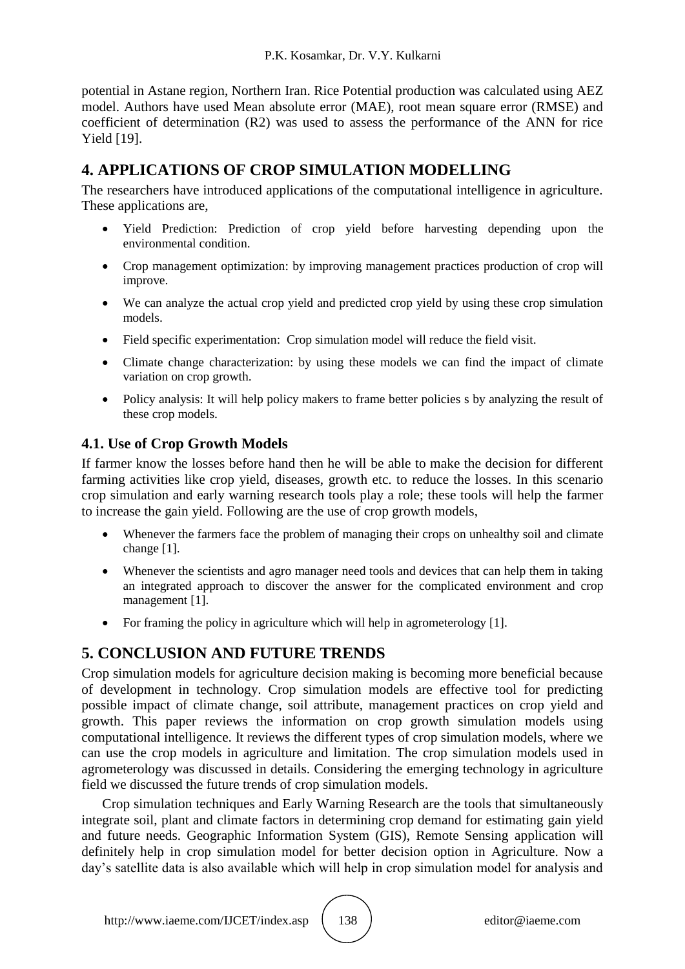potential in Astane region, Northern Iran. Rice Potential production was calculated using AEZ model. Authors have used Mean absolute error (MAE), root mean square error (RMSE) and coefficient of determination (R2) was used to assess the performance of the ANN for rice Yield [19].

# **4. APPLICATIONS OF CROP SIMULATION MODELLING**

The researchers have introduced applications of the computational intelligence in agriculture. These applications are,

- Yield Prediction: Prediction of crop yield before harvesting depending upon the environmental condition.
- Crop management optimization: by improving management practices production of crop will improve.
- We can analyze the actual crop yield and predicted crop yield by using these crop simulation models.
- Field specific experimentation: Crop simulation model will reduce the field visit.
- Climate change characterization: by using these models we can find the impact of climate variation on crop growth.
- Policy analysis: It will help policy makers to frame better policies s by analyzing the result of these crop models.

## **4.1. Use of Crop Growth Models**

If farmer know the losses before hand then he will be able to make the decision for different farming activities like crop yield, diseases, growth etc. to reduce the losses. In this scenario crop simulation and early warning research tools play a role; these tools will help the farmer to increase the gain yield. Following are the use of crop growth models,

- Whenever the farmers face the problem of managing their crops on unhealthy soil and climate change [1].
- Whenever the scientists and agro manager need tools and devices that can help them in taking an integrated approach to discover the answer for the complicated environment and crop management [1].
- For framing the policy in agriculture which will help in agrometerology [1].

# **5. CONCLUSION AND FUTURE TRENDS**

Crop simulation models for agriculture decision making is becoming more beneficial because of development in technology. Crop simulation models are effective tool for predicting possible impact of climate change, soil attribute, management practices on crop yield and growth. This paper reviews the information on crop growth simulation models using computational intelligence. It reviews the different types of crop simulation models, where we can use the crop models in agriculture and limitation. The crop simulation models used in agrometerology was discussed in details. Considering the emerging technology in agriculture field we discussed the future trends of crop simulation models.

Crop simulation techniques and Early Warning Research are the tools that simultaneously integrate soil, plant and climate factors in determining crop demand for estimating gain yield and future needs. Geographic Information System (GIS), Remote Sensing application will definitely help in crop simulation model for better decision option in Agriculture. Now a day's satellite data is also available which will help in crop simulation model for analysis and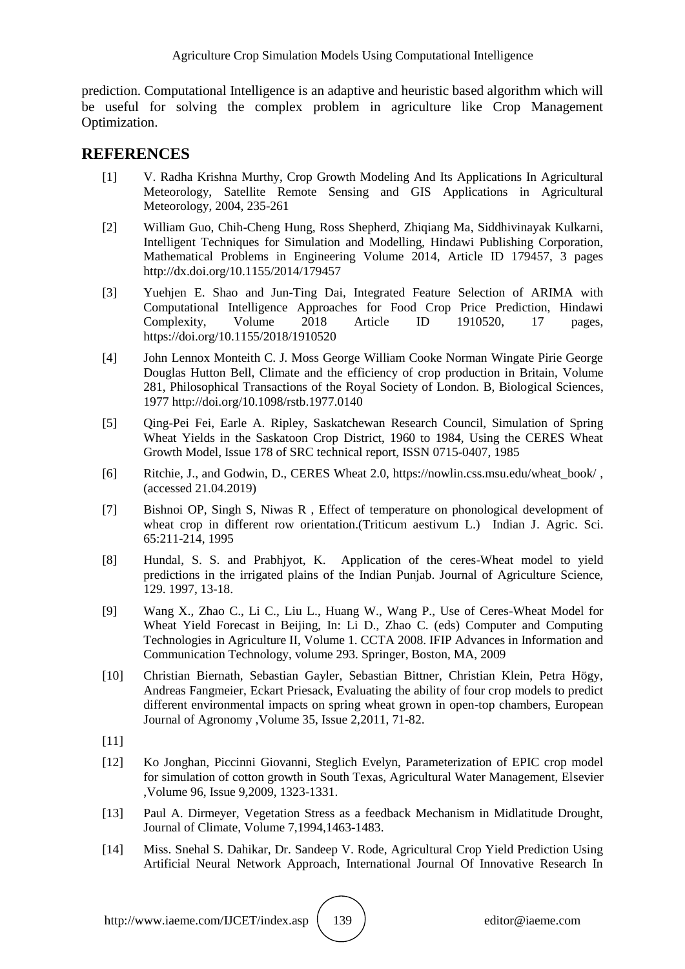prediction. Computational Intelligence is an adaptive and heuristic based algorithm which will be useful for solving the complex problem in agriculture like Crop Management Optimization.

### **REFERENCES**

- [1] V. Radha Krishna Murthy, Crop Growth Modeling And Its Applications In Agricultural Meteorology, Satellite Remote Sensing and GIS Applications in Agricultural Meteorology, 2004, 235-261
- [2] William Guo, Chih-Cheng Hung, Ross Shepherd, Zhiqiang Ma, Siddhivinayak Kulkarni, Intelligent Techniques for Simulation and Modelling, Hindawi Publishing Corporation, Mathematical Problems in Engineering Volume 2014, Article ID 179457, 3 pages http://dx.doi.org/10.1155/2014/179457
- [3] Yuehjen E. Shao and Jun-Ting Dai, Integrated Feature Selection of ARIMA with Computational Intelligence Approaches for Food Crop Price Prediction, Hindawi Complexity, Volume 2018 Article ID 1910520, 17 pages, https://doi.org/10.1155/2018/1910520
- [4] John Lennox Monteith C. J. Moss George William Cooke Norman Wingate Pirie George Douglas Hutton Bell, Climate and the efficiency of crop production in Britain, Volume 281, Philosophical Transactions of the Royal Society of London. B, Biological Sciences, 1977 http://doi.org/10.1098/rstb.1977.0140
- [5] Qing-Pei Fei, Earle A. Ripley, Saskatchewan Research Council, Simulation of Spring Wheat Yields in the Saskatoon Crop District, 1960 to 1984, Using the CERES Wheat Growth Model, Issue 178 of SRC technical report, ISSN 0715-0407, 1985
- [6] Ritchie, J., and Godwin, D., CERES Wheat 2.0, https://nowlin.css.msu.edu/wheat\_book/ , (accessed 21.04.2019)
- [7] Bishnoi OP, Singh S, Niwas R , Effect of temperature on phonological development of wheat crop in different row orientation.(Triticum aestivum L.) Indian J. Agric. Sci. 65:211-214, 1995
- [8] Hundal, S. S. and Prabhjyot, K. Application of the ceres-Wheat model to yield predictions in the irrigated plains of the Indian Punjab. Journal of Agriculture Science, 129. 1997, 13-18.
- [9] Wang X., Zhao C., Li C., Liu L., Huang W., Wang P., Use of Ceres-Wheat Model for Wheat Yield Forecast in Beijing, In: Li D., Zhao C. (eds) Computer and Computing Technologies in Agriculture II, Volume 1. CCTA 2008. IFIP Advances in Information and Communication Technology, volume 293. Springer, Boston, MA, 2009
- [10] Christian Biernath, Sebastian Gayler, Sebastian Bittner, Christian Klein, Petra Högy, Andreas Fangmeier, Eckart Priesack, Evaluating the ability of four crop models to predict different environmental impacts on spring wheat grown in open-top chambers, European Journal of Agronomy ,Volume 35, Issue 2,2011, 71-82.
- $[11]$
- [12] Ko Jonghan, Piccinni Giovanni, Steglich Evelyn, Parameterization of EPIC crop model for simulation of cotton growth in South Texas, Agricultural Water Management, Elsevier ,Volume 96, Issue 9,2009, 1323-1331.
- [13] Paul A. Dirmeyer, Vegetation Stress as a feedback Mechanism in Midlatitude Drought, Journal of Climate, Volume 7,1994,1463-1483.
- [14] Miss. Snehal S. Dahikar, Dr. Sandeep V. Rode, Agricultural Crop Yield Prediction Using Artificial Neural Network Approach, International Journal Of Innovative Research In